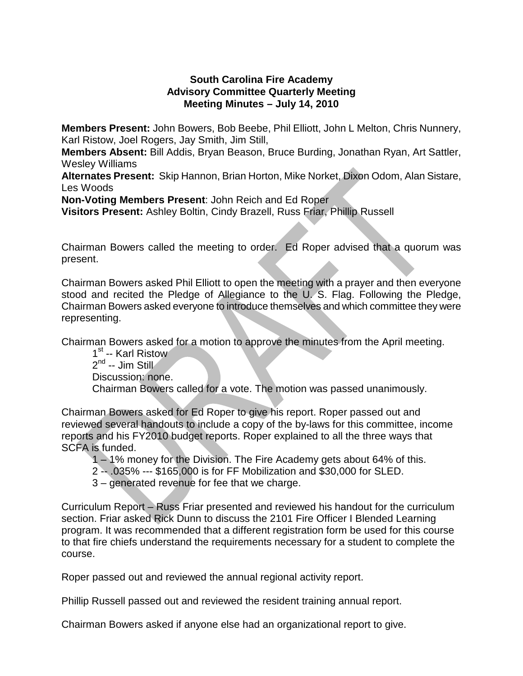## **South Carolina Fire Academy Advisory Committee Quarterly Meeting Meeting Minutes – July 14, 2010**

**Members Present:** John Bowers, Bob Beebe, Phil Elliott, John L Melton, Chris Nunnery, Karl Ristow, Joel Rogers, Jay Smith, Jim Still,

**Members Absent:** Bill Addis, Bryan Beason, Bruce Burding, Jonathan Ryan, Art Sattler, Wesley Williams

**Alternates Present:** Skip Hannon, Brian Horton, Mike Norket, Dixon Odom, Alan Sistare, Les Woods

**Non-Voting Members Present**: John Reich and Ed Roper

**Visitors Present:** Ashley Boltin, Cindy Brazell, Russ Friar, Phillip Russell

Chairman Bowers called the meeting to order. Ed Roper advised that a quorum was present.

Chairman Bowers asked Phil Elliott to open the meeting with a prayer and then everyone stood and recited the Pledge of Allegiance to the U. S. Flag. Following the Pledge, Chairman Bowers asked everyone to introduce themselves and which committee they were representing.

Chairman Bowers asked for a motion to approve the minutes from the April meeting.

1<sup>st</sup> -- Karl Ristow  $2^{nd} -$  Jim Still Discussion: none. Chairman Bowers called for a vote. The motion was passed unanimously.

Chairman Bowers asked for Ed Roper to give his report. Roper passed out and reviewed several handouts to include a copy of the by-laws for this committee, income reports and his FY2010 budget reports. Roper explained to all the three ways that SCFA is funded.

1 – 1% money for the Division. The Fire Academy gets about 64% of this.

- 2 -- .035% --- \$165,000 is for FF Mobilization and \$30,000 for SLED.
- 3 generated revenue for fee that we charge.

Curriculum Report – Russ Friar presented and reviewed his handout for the curriculum section. Friar asked Rick Dunn to discuss the 2101 Fire Officer I Blended Learning program. It was recommended that a different registration form be used for this course to that fire chiefs understand the requirements necessary for a student to complete the course.

Roper passed out and reviewed the annual regional activity report.

Phillip Russell passed out and reviewed the resident training annual report.

Chairman Bowers asked if anyone else had an organizational report to give.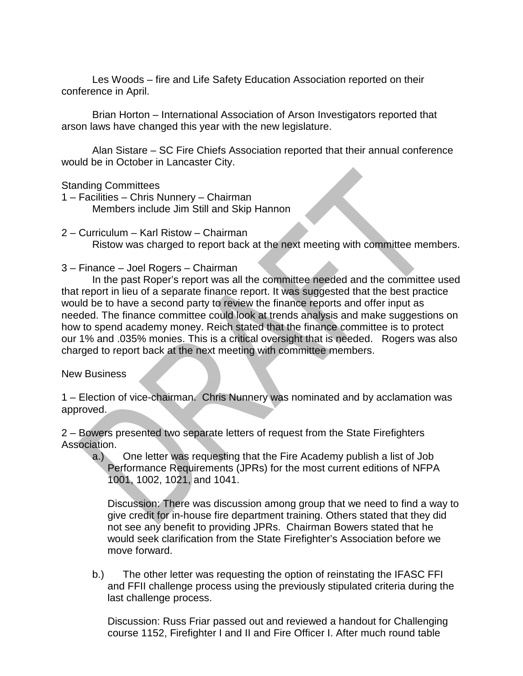Les Woods – fire and Life Safety Education Association reported on their conference in April.

Brian Horton – International Association of Arson Investigators reported that arson laws have changed this year with the new legislature.

Alan Sistare – SC Fire Chiefs Association reported that their annual conference would be in October in Lancaster City.

Standing Committees

1 – Facilities – Chris Nunnery – Chairman Members include Jim Still and Skip Hannon

- 2 Curriculum Karl Ristow Chairman Ristow was charged to report back at the next meeting with committee members.
- 3 Finance Joel Rogers Chairman

In the past Roper's report was all the committee needed and the committee used that report in lieu of a separate finance report. It was suggested that the best practice would be to have a second party to review the finance reports and offer input as needed. The finance committee could look at trends analysis and make suggestions on how to spend academy money. Reich stated that the finance committee is to protect our 1% and .035% monies. This is a critical oversight that is needed. Rogers was also charged to report back at the next meeting with committee members.

New Business

1 – Election of vice-chairman. Chris Nunnery was nominated and by acclamation was approved.

2 – Bowers presented two separate letters of request from the State Firefighters Association.

a.) One letter was requesting that the Fire Academy publish a list of Job Performance Requirements (JPRs) for the most current editions of NFPA 1001, 1002, 1021, and 1041.

Discussion: There was discussion among group that we need to find a way to give credit for in-house fire department training. Others stated that they did not see any benefit to providing JPRs. Chairman Bowers stated that he would seek clarification from the State Firefighter's Association before we move forward.

b.) The other letter was requesting the option of reinstating the IFASC FFI and FFII challenge process using the previously stipulated criteria during the last challenge process.

Discussion: Russ Friar passed out and reviewed a handout for Challenging course 1152, Firefighter I and II and Fire Officer I. After much round table